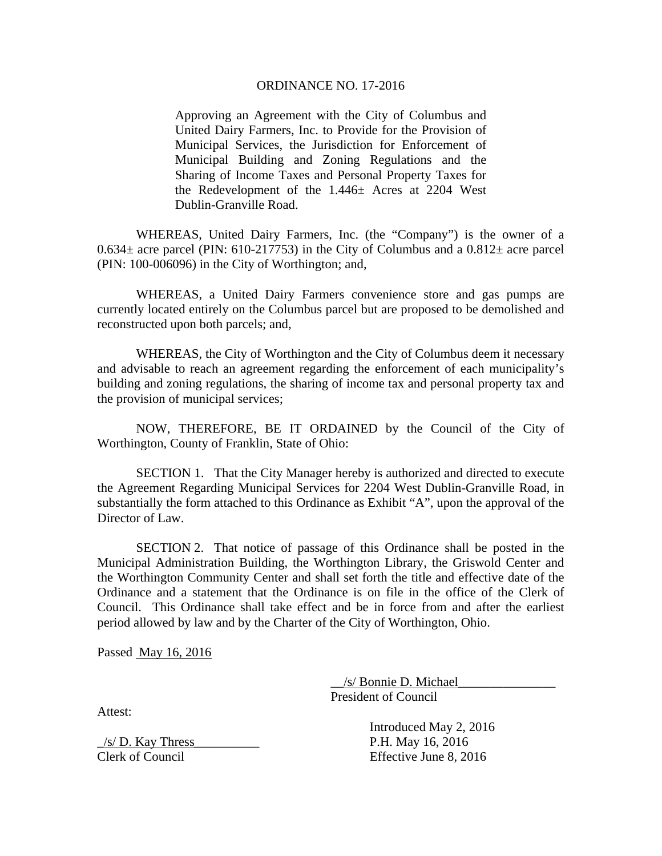#### ORDINANCE NO. 17-2016

Approving an Agreement with the City of Columbus and United Dairy Farmers, Inc. to Provide for the Provision of Municipal Services, the Jurisdiction for Enforcement of Municipal Building and Zoning Regulations and the Sharing of Income Taxes and Personal Property Taxes for the Redevelopment of the 1.446± Acres at 2204 West Dublin-Granville Road.

WHEREAS, United Dairy Farmers, Inc. (the "Company") is the owner of a  $0.634\pm$  acre parcel (PIN: 610-217753) in the City of Columbus and a  $0.812\pm$  acre parcel (PIN: 100-006096) in the City of Worthington; and,

WHEREAS, a United Dairy Farmers convenience store and gas pumps are currently located entirely on the Columbus parcel but are proposed to be demolished and reconstructed upon both parcels; and,

 WHEREAS, the City of Worthington and the City of Columbus deem it necessary and advisable to reach an agreement regarding the enforcement of each municipality's building and zoning regulations, the sharing of income tax and personal property tax and the provision of municipal services;

NOW, THEREFORE, BE IT ORDAINED by the Council of the City of Worthington, County of Franklin, State of Ohio:

SECTION 1. That the City Manager hereby is authorized and directed to execute the Agreement Regarding Municipal Services for 2204 West Dublin-Granville Road, in substantially the form attached to this Ordinance as Exhibit "A", upon the approval of the Director of Law.

 SECTION 2. That notice of passage of this Ordinance shall be posted in the Municipal Administration Building, the Worthington Library, the Griswold Center and the Worthington Community Center and shall set forth the title and effective date of the Ordinance and a statement that the Ordinance is on file in the office of the Clerk of Council. This Ordinance shall take effect and be in force from and after the earliest period allowed by law and by the Charter of the City of Worthington, Ohio.

Passed May 16, 2016

 \_\_/s/ Bonnie D. Michael\_\_\_\_\_\_\_\_\_\_\_\_\_\_\_ President of Council

Attest:

\_/s/ D. Kay Thress\_\_\_\_\_\_\_\_\_\_ P.H. May 16, 2016

 Introduced May 2, 2016 Clerk of Council Effective June 8, 2016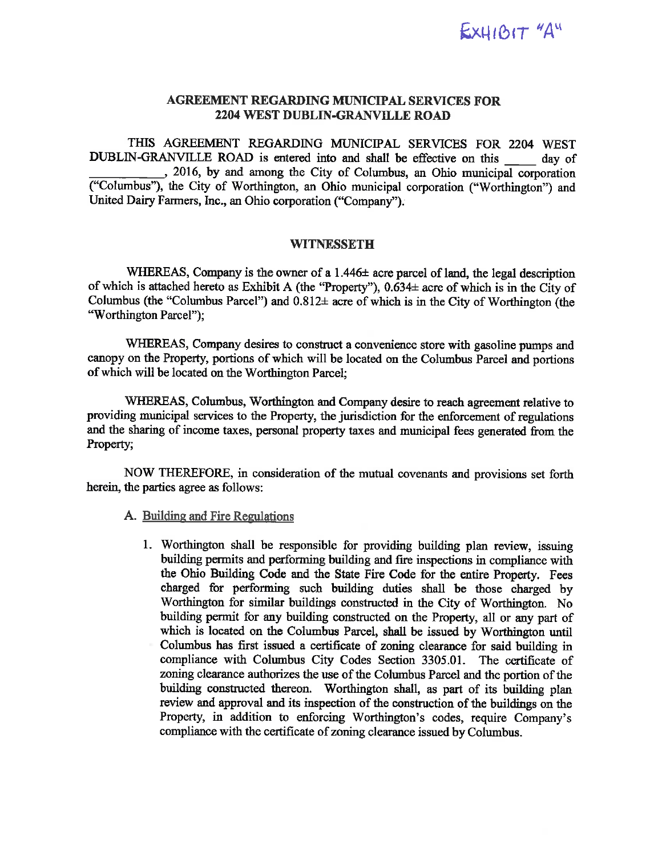

### **AGREEMENT REGARDING MUNICIPAL SERVICES FOR** 2204 WEST DUBLIN-GRANVILLE ROAD

THIS AGREEMENT REGARDING MUNICIPAL SERVICES FOR 2204 WEST DUBLIN-GRANVILLE ROAD is entered into and shall be effective on this day of , 2016, by and among the City of Columbus, an Ohio municipal corporation ("Columbus"), the City of Worthington, an Ohio municipal corporation ("Worthington") and United Dairy Farmers, Inc., an Ohio corporation ("Company").

#### **WITNESSETH**

WHEREAS, Company is the owner of a 1.446± acre parcel of land, the legal description of which is attached hereto as Exhibit A (the "Property"),  $0.634\pm$  acre of which is in the City of Columbus (the "Columbus Parcel") and  $0.812\pm$  acre of which is in the City of Worthington (the "Worthington Parcel");

WHEREAS, Company desires to construct a convenience store with gasoline pumps and canopy on the Property, portions of which will be located on the Columbus Parcel and portions of which will be located on the Worthington Parcel;

WHEREAS, Columbus, Worthington and Company desire to reach agreement relative to providing municipal services to the Property, the jurisdiction for the enforcement of regulations and the sharing of income taxes, personal property taxes and municipal fees generated from the Property:

NOW THEREFORE, in consideration of the mutual covenants and provisions set forth herein, the parties agree as follows:

#### A. Building and Fire Regulations

1. Worthington shall be responsible for providing building plan review, issuing building permits and performing building and fire inspections in compliance with the Ohio Building Code and the State Fire Code for the entire Property. Fees charged for performing such building duties shall be those charged by Worthington for similar buildings constructed in the City of Worthington. No building permit for any building constructed on the Property, all or any part of which is located on the Columbus Parcel, shall be issued by Worthington until Columbus has first issued a certificate of zoning clearance for said building in compliance with Columbus City Codes Section 3305.01. The certificate of zoning clearance authorizes the use of the Columbus Parcel and the portion of the building constructed thereon. Worthington shall, as part of its building plan review and approval and its inspection of the construction of the buildings on the Property, in addition to enforcing Worthington's codes, require Company's compliance with the certificate of zoning clearance issued by Columbus.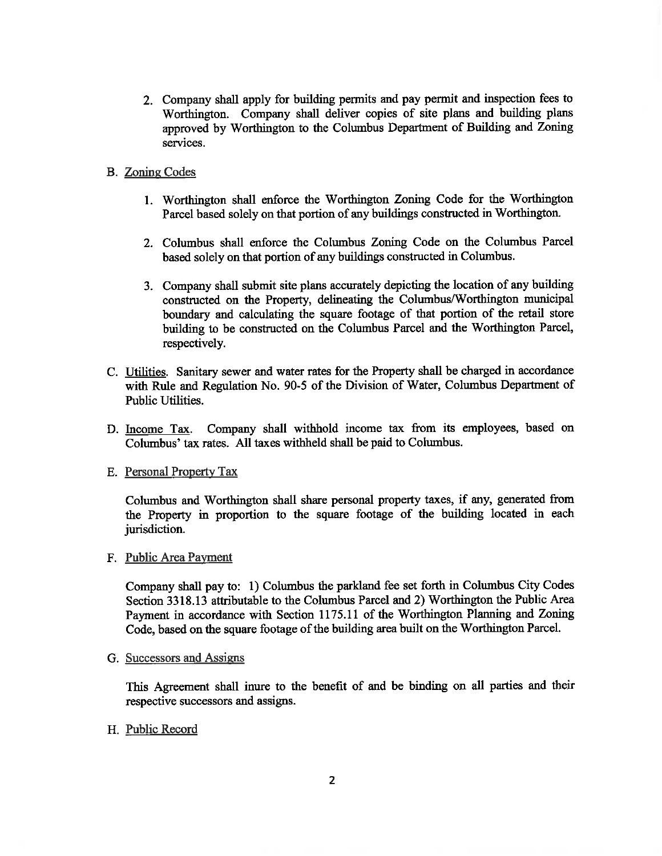- 2. Company shall apply for building permits and pay permit and inspection fees to Worthington. Company shall deliver copies of site plans and building plans approved by Worthington to the Columbus Department of Building and Zoning services.
- **B.** Zoning Codes
	- 1. Worthington shall enforce the Worthington Zoning Code for the Worthington Parcel based solely on that portion of any buildings constructed in Worthington.
	- 2. Columbus shall enforce the Columbus Zoning Code on the Columbus Parcel based solely on that portion of any buildings constructed in Columbus.
	- 3. Company shall submit site plans accurately depicting the location of any building constructed on the Property, delineating the Columbus/Worthington municipal boundary and calculating the square footage of that portion of the retail store building to be constructed on the Columbus Parcel and the Worthington Parcel, respectively.
- C. Utilities. Sanitary sewer and water rates for the Property shall be charged in accordance with Rule and Regulation No. 90-5 of the Division of Water, Columbus Department of Public Utilities.
- D. Income Tax. Company shall withhold income tax from its employees, based on Columbus' tax rates. All taxes withheld shall be paid to Columbus.
- E. Personal Property Tax

Columbus and Worthington shall share personal property taxes, if any, generated from the Property in proportion to the square footage of the building located in each jurisdiction.

F. Public Area Payment

Company shall pay to: 1) Columbus the parkland fee set forth in Columbus City Codes Section 3318.13 attributable to the Columbus Parcel and 2) Worthington the Public Area Payment in accordance with Section 1175.11 of the Worthington Planning and Zoning Code, based on the square footage of the building area built on the Worthington Parcel.

G. Successors and Assigns

This Agreement shall inure to the benefit of and be binding on all parties and their respective successors and assigns.

H. Public Record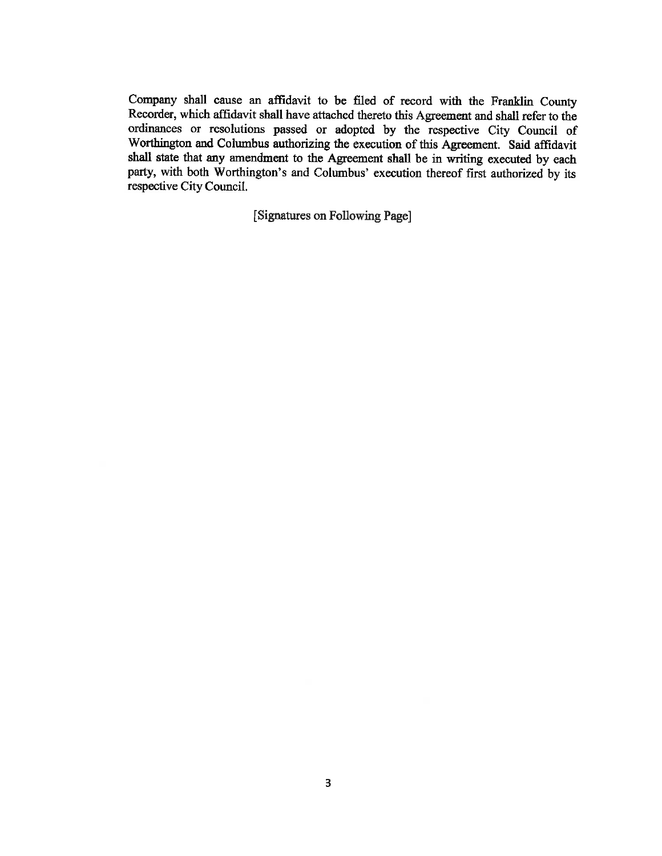Company shall cause an affidavit to be filed of record with the Franklin County Recorder, which affidavit shall have attached thereto this Agreement and shall refer to the ordinances or resolutions passed or adopted by the respective City Council of Worthington and Columbus authorizing the execution of this Agreement. Said affidavit shall state that any amendment to the Agreement shall be in writing executed by each party, with both Worthington's and Columbus' execution thereof first authorized by its respective City Council.

[Signatures on Following Page]